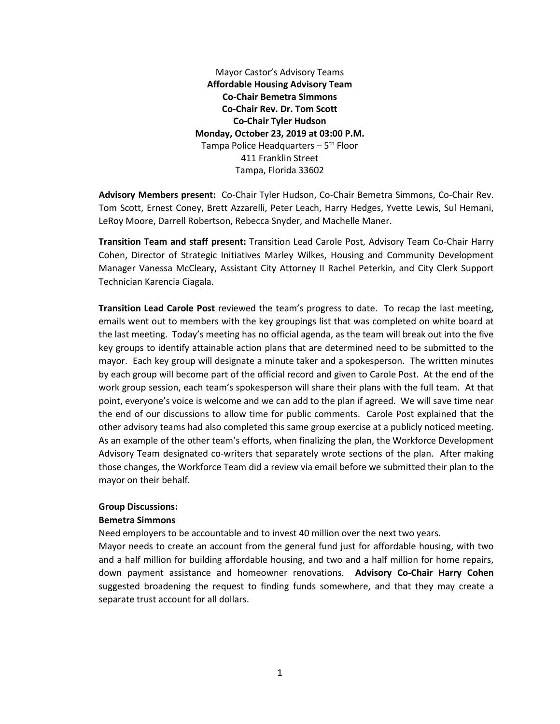Mayor Castor's Advisory Teams **Affordable Housing Advisory Team Co-Chair Bemetra Simmons Co-Chair Rev. Dr. Tom Scott Co-Chair Tyler Hudson Monday, October 23, 2019 at 03:00 P.M.** Tampa Police Headquarters  $-5<sup>th</sup>$  Floor 411 Franklin Street Tampa, Florida 33602

**Advisory Members present:** Co-Chair Tyler Hudson, Co-Chair Bemetra Simmons, Co-Chair Rev. Tom Scott, Ernest Coney, Brett Azzarelli, Peter Leach, Harry Hedges, Yvette Lewis, Sul Hemani, LeRoy Moore, Darrell Robertson, Rebecca Snyder, and Machelle Maner.

**Transition Team and staff present:** Transition Lead Carole Post, Advisory Team Co-Chair Harry Cohen, Director of Strategic Initiatives Marley Wilkes, Housing and Community Development Manager Vanessa McCleary, Assistant City Attorney II Rachel Peterkin, and City Clerk Support Technician Karencia Ciagala.

**Transition Lead Carole Post** reviewed the team's progress to date. To recap the last meeting, emails went out to members with the key groupings list that was completed on white board at the last meeting. Today's meeting has no official agenda, as the team will break out into the five key groups to identify attainable action plans that are determined need to be submitted to the mayor. Each key group will designate a minute taker and a spokesperson. The written minutes by each group will become part of the official record and given to Carole Post. At the end of the work group session, each team's spokesperson will share their plans with the full team. At that point, everyone's voice is welcome and we can add to the plan if agreed. We will save time near the end of our discussions to allow time for public comments. Carole Post explained that the other advisory teams had also completed this same group exercise at a publicly noticed meeting. As an example of the other team's efforts, when finalizing the plan, the Workforce Development Advisory Team designated co-writers that separately wrote sections of the plan. After making those changes, the Workforce Team did a review via email before we submitted their plan to the mayor on their behalf.

### **Group Discussions:**

### **Bemetra Simmons**

Need employers to be accountable and to invest 40 million over the next two years.

Mayor needs to create an account from the general fund just for affordable housing, with two and a half million for building affordable housing, and two and a half million for home repairs, down payment assistance and homeowner renovations. **Advisory Co-Chair Harry Cohen**  suggested broadening the request to finding funds somewhere, and that they may create a separate trust account for all dollars.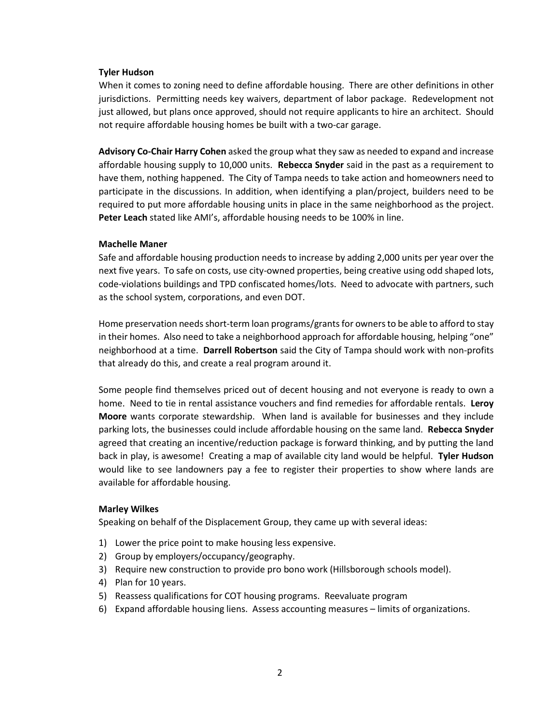# **Tyler Hudson**

When it comes to zoning need to define affordable housing. There are other definitions in other jurisdictions. Permitting needs key waivers, department of labor package. Redevelopment not just allowed, but plans once approved, should not require applicants to hire an architect. Should not require affordable housing homes be built with a two-car garage.

**Advisory Co-Chair Harry Cohen** asked the group what they saw as needed to expand and increase affordable housing supply to 10,000 units. **Rebecca Snyder** said in the past as a requirement to have them, nothing happened. The City of Tampa needs to take action and homeowners need to participate in the discussions. In addition, when identifying a plan/project, builders need to be required to put more affordable housing units in place in the same neighborhood as the project. **Peter Leach** stated like AMI's, affordable housing needs to be 100% in line.

# **Machelle Maner**

Safe and affordable housing production needs to increase by adding 2,000 units per year over the next five years. To safe on costs, use city-owned properties, being creative using odd shaped lots, code-violations buildings and TPD confiscated homes/lots. Need to advocate with partners, such as the school system, corporations, and even DOT.

Home preservation needs short-term loan programs/grants for owners to be able to afford to stay in their homes. Also need to take a neighborhood approach for affordable housing, helping "one" neighborhood at a time. **Darrell Robertson** said the City of Tampa should work with non-profits that already do this, and create a real program around it.

Some people find themselves priced out of decent housing and not everyone is ready to own a home. Need to tie in rental assistance vouchers and find remedies for affordable rentals. **Leroy Moore** wants corporate stewardship. When land is available for businesses and they include parking lots, the businesses could include affordable housing on the same land. **Rebecca Snyder** agreed that creating an incentive/reduction package is forward thinking, and by putting the land back in play, is awesome! Creating a map of available city land would be helpful. **Tyler Hudson** would like to see landowners pay a fee to register their properties to show where lands are available for affordable housing.

## **Marley Wilkes**

Speaking on behalf of the Displacement Group, they came up with several ideas:

- 1) Lower the price point to make housing less expensive.
- 2) Group by employers/occupancy/geography.
- 3) Require new construction to provide pro bono work (Hillsborough schools model).
- 4) Plan for 10 years.
- 5) Reassess qualifications for COT housing programs. Reevaluate program
- 6) Expand affordable housing liens. Assess accounting measures limits of organizations.